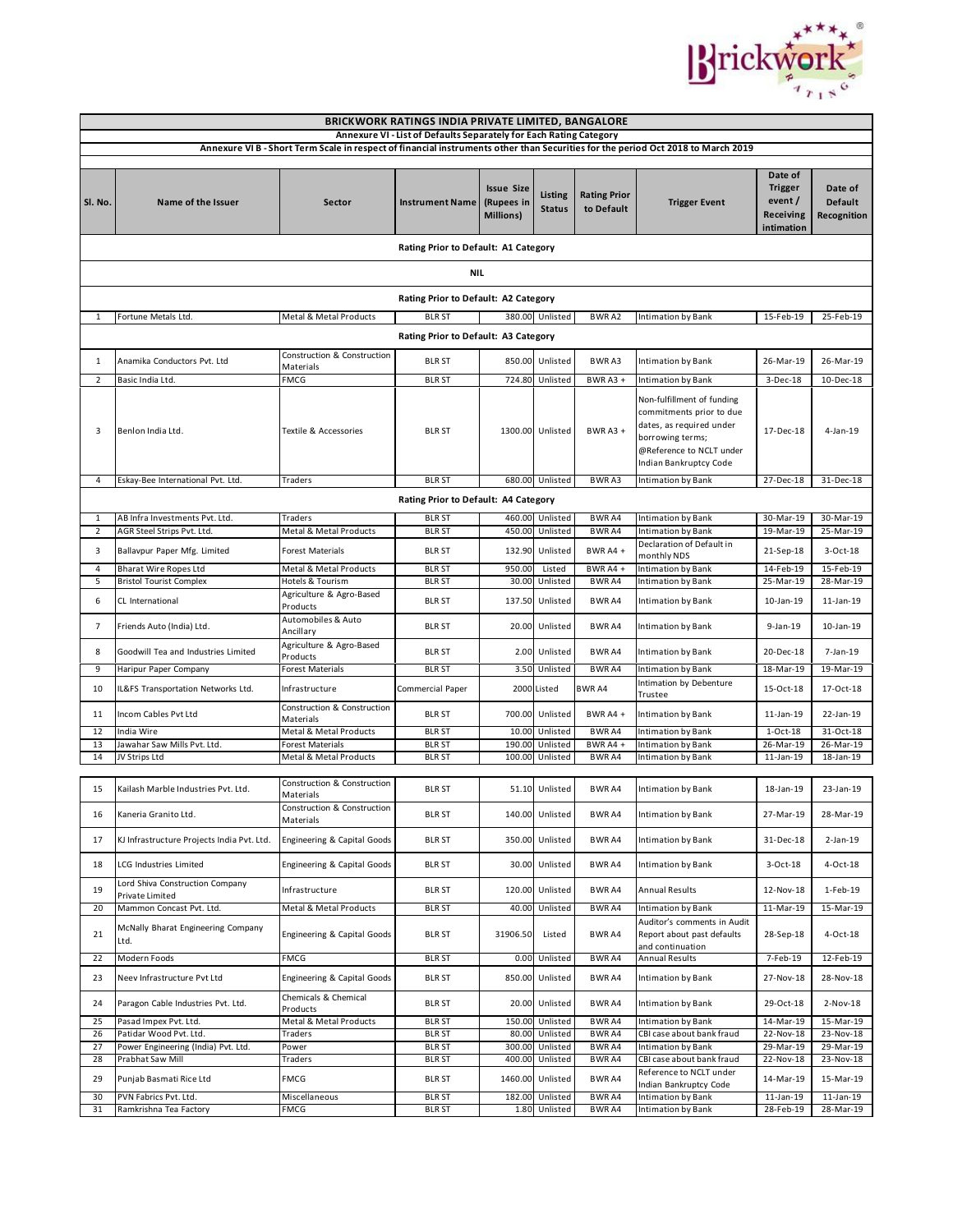

| BRICKWORK RATINGS INDIA PRIVATE LIMITED, BANGALORE                                                                               |                                                                        |                                                   |                                      |                                                     |                          |                                   |                                                                                                                                                              |                                                                |                                          |  |  |  |
|----------------------------------------------------------------------------------------------------------------------------------|------------------------------------------------------------------------|---------------------------------------------------|--------------------------------------|-----------------------------------------------------|--------------------------|-----------------------------------|--------------------------------------------------------------------------------------------------------------------------------------------------------------|----------------------------------------------------------------|------------------------------------------|--|--|--|
| Annexure VI - List of Defaults Separately for Each Rating Category                                                               |                                                                        |                                                   |                                      |                                                     |                          |                                   |                                                                                                                                                              |                                                                |                                          |  |  |  |
| Annexure VI B - Short Term Scale in respect of financial instruments other than Securities for the period Oct 2018 to March 2019 |                                                                        |                                                   |                                      |                                                     |                          |                                   |                                                                                                                                                              |                                                                |                                          |  |  |  |
| SI. No.                                                                                                                          | Name of the Issuer                                                     | Sector                                            | <b>Instrument Name</b>               | <b>Issue Size</b><br>(Rupees in<br><b>Millions)</b> | Listing<br><b>Status</b> | <b>Rating Prior</b><br>to Default | <b>Trigger Event</b>                                                                                                                                         | Date of<br><b>Trigger</b><br>event/<br>Receiving<br>intimation | Date of<br><b>Default</b><br>Recognition |  |  |  |
|                                                                                                                                  |                                                                        |                                                   | Rating Prior to Default: A1 Category |                                                     |                          |                                   |                                                                                                                                                              |                                                                |                                          |  |  |  |
| <b>NIL</b>                                                                                                                       |                                                                        |                                                   |                                      |                                                     |                          |                                   |                                                                                                                                                              |                                                                |                                          |  |  |  |
| Rating Prior to Default: A2 Category                                                                                             |                                                                        |                                                   |                                      |                                                     |                          |                                   |                                                                                                                                                              |                                                                |                                          |  |  |  |
| 1                                                                                                                                | Fortune Metals Ltd.                                                    | Metal & Metal Products                            | <b>BLR ST</b>                        |                                                     | 380.00 Unlisted          | <b>BWRA2</b>                      | Intimation by Bank                                                                                                                                           | 15-Feb-19                                                      | 25-Feb-19                                |  |  |  |
| Rating Prior to Default: A3 Category                                                                                             |                                                                        |                                                   |                                      |                                                     |                          |                                   |                                                                                                                                                              |                                                                |                                          |  |  |  |
| 1                                                                                                                                | Anamika Conductors Pvt. Ltd                                            | Construction & Construction                       | <b>BLR ST</b>                        |                                                     | 850.00 Unlisted          | BWR A3                            | <b>Intimation by Bank</b>                                                                                                                                    | 26-Mar-19                                                      | 26-Mar-19                                |  |  |  |
| 2                                                                                                                                | Basic India Ltd.                                                       | Materials<br><b>FMCG</b>                          | <b>BLR ST</b>                        | 724.80                                              | Unlisted                 | BWR A3 +                          | Intimation by Bank                                                                                                                                           | 3-Dec-18                                                       | 10-Dec-18                                |  |  |  |
| 3                                                                                                                                | Benlon India Ltd.                                                      | Textile & Accessories                             | <b>BLR ST</b>                        |                                                     | 1300.00 Unlisted         | BWR A3 +                          | Non-fulfillment of funding<br>commitments prior to due<br>dates, as required under<br>borrowing terms;<br>@Reference to NCLT under<br>Indian Bankruptcy Code | 17-Dec-18                                                      | 4-Jan-19                                 |  |  |  |
| 4                                                                                                                                | Eskay-Bee International Pvt. Ltd.                                      | Traders                                           | <b>BLR ST</b>                        |                                                     | 680.00 Unlisted          | <b>BWRA3</b>                      | <b>Intimation by Bank</b>                                                                                                                                    | 27-Dec-18                                                      | 31-Dec-18                                |  |  |  |
|                                                                                                                                  |                                                                        |                                                   | Rating Prior to Default: A4 Category |                                                     |                          |                                   |                                                                                                                                                              |                                                                |                                          |  |  |  |
| 1                                                                                                                                | AB Infra Investments Pvt. Ltd.                                         | Traders                                           | <b>BLR ST</b>                        |                                                     | 460.00 Unlisted          | <b>BWRA4</b>                      | Intimation by Bank                                                                                                                                           | 30-Mar-19                                                      | 30-Mar-19                                |  |  |  |
| 2                                                                                                                                | AGR Steel Strips Pvt. Ltd.                                             | Metal & Metal Products                            | <b>BLR ST</b>                        | 450.00                                              | Unlisted                 | <b>BWRA4</b>                      | Intimation by Bank                                                                                                                                           | 19-Mar-19                                                      | 25-Mar-19                                |  |  |  |
| 3                                                                                                                                | Ballavpur Paper Mfg. Limited                                           | <b>Forest Materials</b>                           | <b>BLR ST</b>                        | 132.90                                              | Unlisted                 | BWR A4 +                          | Declaration of Default in<br>monthly NDS                                                                                                                     | 21-Sep-18                                                      | 3-Oct-18                                 |  |  |  |
| 4<br>5                                                                                                                           | <b>Bharat Wire Ropes Ltd</b><br><b>Bristol Tourist Complex</b>         | Metal & Metal Products<br>Hotels & Tourism        | <b>BLR ST</b><br><b>BLR ST</b>       | 950.00<br>30.00                                     | Listed<br>Unlisted       | BWR A4 +<br><b>BWRA4</b>          | Intimation by Bank<br>Intimation by Bank                                                                                                                     | 14-Feb-19<br>25-Mar-19                                         | 15-Feb-19<br>28-Mar-19                   |  |  |  |
| 6                                                                                                                                | CL International                                                       | Agriculture & Agro-Based<br>Products              | BLR ST                               | 137.50                                              | Unlisted                 | BWR A4                            | Intimation by Bank                                                                                                                                           | 10-Jan-19                                                      | 11-Jan-19                                |  |  |  |
| 7                                                                                                                                | Friends Auto (India) Ltd.                                              | Automobiles & Auto<br>Ancillary                   | <b>BLR ST</b>                        | 20.00                                               | Unlisted                 | BWR A4                            | Intimation by Bank                                                                                                                                           | 9-Jan-19                                                       | 10-Jan-19                                |  |  |  |
| 8                                                                                                                                | Goodwill Tea and Industries Limited                                    | Agriculture & Agro-Based<br>Products              | <b>BLR ST</b>                        | 2.00                                                | Unlisted                 | <b>BWRA4</b>                      | Intimation by Bank                                                                                                                                           | 20-Dec-18                                                      | 7-Jan-19                                 |  |  |  |
| 9                                                                                                                                | Haripur Paper Company                                                  | Forest Materials                                  | <b>BLR ST</b>                        | 3.50                                                | Unlisted                 | <b>BWRA4</b>                      | Intimation by Bank                                                                                                                                           | 18-Mar-19                                                      | 19-Mar-19                                |  |  |  |
| 10                                                                                                                               | IL&FS Transportation Networks Ltd.                                     | Infrastructure                                    | Commercial Paper                     |                                                     | 2000 Listed              | <b>BWRA4</b>                      | Intimation by Debenture<br>Trustee                                                                                                                           | 15-Oct-18                                                      | 17-Oct-18                                |  |  |  |
| 11                                                                                                                               | Incom Cables Pvt Ltd                                                   | Construction & Construction<br>Materials          | <b>BLR ST</b>                        | 700.00                                              | Unlisted                 | BWR A4 +                          | Intimation by Bank                                                                                                                                           | 11-Jan-19                                                      | 22-Jan-19                                |  |  |  |
| 12                                                                                                                               | India Wire                                                             | Metal & Metal Products                            | <b>BLR ST</b>                        | 10.00                                               | Unlisted                 | <b>BWRA4</b>                      | Intimation by Bank                                                                                                                                           | $1-Oct-18$                                                     | 31-Oct-18                                |  |  |  |
| 13<br>14                                                                                                                         | Jawahar Saw Mills Pvt. Ltd.<br>JV Strips Ltd                           | <b>Forest Materials</b><br>Metal & Metal Products | <b>BLR ST</b><br><b>BLR ST</b>       | 190.00<br>100.00                                    | Unlisted<br>Unlisted     | BWR A4 +<br>BWR A4                | Intimation by Bank                                                                                                                                           | 26-Mar-19<br>$11$ -Jan-19                                      | 26-Mar-19<br>18-Jan-19                   |  |  |  |
|                                                                                                                                  |                                                                        |                                                   |                                      |                                                     |                          |                                   | Intimation by Bank                                                                                                                                           |                                                                |                                          |  |  |  |
| 15                                                                                                                               | Kailash Marble Industries Pvt. Ltd.                                    | Construction & Construction<br>Materials          | <b>BLR ST</b>                        | 51.10                                               | Unlisted                 | <b>BWRA4</b>                      | Intimation by Bank                                                                                                                                           | 18-Jan-19                                                      | 23-Jan-19                                |  |  |  |
| 16                                                                                                                               | Kaneria Granito Ltd.                                                   | Construction & Construction<br>Materials          | <b>BLR ST</b>                        |                                                     | 140.00 Unlisted          | BWR A4                            | ntimation by Bank                                                                                                                                            | 27-Mar-19                                                      | 28-Mar-19                                |  |  |  |
| 17                                                                                                                               | KJ Infrastructure Projects India Pvt. Ltd.                             | Engineering & Capital Goods                       | <b>BLR ST</b>                        |                                                     | 350.00 Unlisted          | BWR A4                            | Intimation by Bank                                                                                                                                           | 31-Dec-18                                                      | $2-Jan-19$                               |  |  |  |
| 18                                                                                                                               | LCG Industries Limited                                                 | Engineering & Capital Goods                       | <b>BLR ST</b>                        |                                                     | 30.00 Unlisted           | BWR A4                            | Intimation by Bank                                                                                                                                           | 3-Oct-18                                                       | 4-Oct-18                                 |  |  |  |
| 19<br>20                                                                                                                         | Lord Shiva Construction Company<br>Private Limited                     | Infrastructure<br>Metal & Metal Products          | <b>BLR ST</b><br><b>BLR ST</b>       | 120.00<br>40.00                                     | Unlisted<br>Unlisted     | BWR A4<br><b>BWRA4</b>            | <b>Annual Results</b>                                                                                                                                        | 12-Nov-18<br>11-Mar-19                                         | 1-Feb-19<br>15-Mar-19                    |  |  |  |
| 21                                                                                                                               | Mammon Concast Pvt. Ltd.<br>McNally Bharat Engineering Company<br>Ltd. | Engineering & Capital Goods                       | <b>BLR ST</b>                        | 31906.50                                            | Listed                   | <b>BWRA4</b>                      | Intimation by Bank<br>Auditor's comments in Audit<br>Report about past defaults<br>and continuation                                                          | 28-Sep-18                                                      | 4-Oct-18                                 |  |  |  |
| 22                                                                                                                               | Modern Foods                                                           | <b>FMCG</b>                                       | <b>BLR ST</b>                        | 0.00                                                | Unlisted                 | BWR A4                            | Annual Results                                                                                                                                               | 7-Feb-19                                                       | 12-Feb-19                                |  |  |  |
| 23                                                                                                                               | Neev Infrastructure Pvt Ltd                                            | Engineering & Capital Goods                       | <b>BLR ST</b>                        |                                                     | 850.00 Unlisted          | BWR A4                            | Intimation by Bank                                                                                                                                           | 27-Nov-18                                                      | 28-Nov-18                                |  |  |  |
| 24                                                                                                                               | Paragon Cable Industries Pvt. Ltd.                                     | Chemicals & Chemical<br>Products                  | <b>BLR ST</b>                        | 20.00                                               | Unlisted                 | BWR A4                            | Intimation by Bank                                                                                                                                           | 29-Oct-18                                                      | $2-Nov-18$                               |  |  |  |
| 25<br>26                                                                                                                         | Pasad Impex Pvt. Ltd.<br>Patidar Wood Pvt. Ltd.                        | Metal & Metal Products                            | <b>BLR ST</b><br><b>BLR ST</b>       | 150.00<br>80.00                                     | Unlisted<br>Unlisted     | <b>BWRA4</b><br><b>BWRA4</b>      | Intimation by Bank<br>CBI case about bank fraud                                                                                                              | 14-Mar-19<br>22-Nov-18                                         | 15-Mar-19<br>23-Nov-18                   |  |  |  |
| 27                                                                                                                               | Power Engineering (India) Pvt. Ltd.                                    | Traders<br>Power                                  | <b>BLR ST</b>                        | 300.00                                              | Unlisted                 | BWR A4                            | Intimation by Bank                                                                                                                                           | 29-Mar-19                                                      | 29-Mar-19                                |  |  |  |
| 28                                                                                                                               | Prabhat Saw Mill                                                       | Traders                                           | <b>BLR ST</b>                        | 400.00                                              | Unlisted                 | BWR A4                            | CBI case about bank fraud                                                                                                                                    | 22-Nov-18                                                      | 23-Nov-18                                |  |  |  |
| 29                                                                                                                               | Punjab Basmati Rice Ltd                                                | FMCG                                              | <b>BLR ST</b>                        | 1460.00                                             | Unlisted                 | BWR A4                            | Reference to NCLT under<br>Indian Bankruptcy Code                                                                                                            | 14-Mar-19                                                      | 15-Mar-19                                |  |  |  |
| 30                                                                                                                               | PVN Fabrics Pvt. Ltd.                                                  | Miscellaneous                                     | <b>BLR ST</b>                        | 182.00                                              | Unlisted                 | <b>BWRA4</b>                      | Intimation by Bank                                                                                                                                           | 11-Jan-19                                                      | $11$ -Jan-19                             |  |  |  |
| 31                                                                                                                               | Ramkrishna Tea Factory                                                 | <b>FMCG</b>                                       | <b>BLR ST</b>                        |                                                     | 1.80 Unlisted            | <b>BWRA4</b>                      | Intimation by Bank                                                                                                                                           | 28-Feb-19                                                      | 28-Mar-19                                |  |  |  |